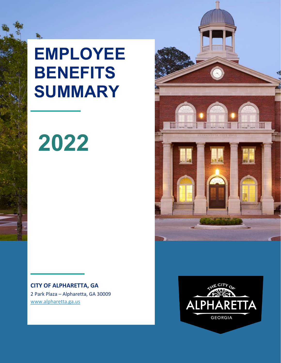**EMPLOYEE BENEFITS SUMMARY**

# **2022**

**CITY OF ALPHARETTA, GA** 2 Park Plaza – Alpharetta, GA 30009 [www.alpharetta.ga.us](http://www.alpharetta.ga.us/)



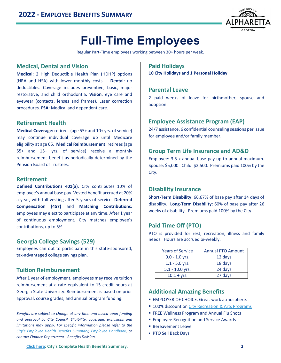

# **Full-Time Employees**

Regular Part-Time employees working between 30+ hours per week.

#### **Medical, Dental and Vision**

**Medical**: 2 High Deductible Health Plan (HDHP) options (HRA and HSA) with lower monthly costs. **Dental**: no deductibles. Coverage includes preventive, basic, major restorative, and child orthodontia. **Vision**: eye care and eyewear (contacts, lenses and frames). Laser correction procedures. **FSA**: Medical and dependent care.

# **Retirement Health**

**Medical Coverage:** retirees (age 55+ and 10+ yrs. of service) may continue individual coverage up until Medicare eligibility at age 65. **Medical Reimbursement**: retirees (age 55+ and 15+ yrs. of service) receive a monthly reimbursement benefit as periodically determined by the Pension Board of Trustees.

#### **Retirement**

**Defined Contributions 401(a)**: City contributes 10% of employee's annual base pay. Vested benefit accrued at 20% a year, with full vesting after 5 years of service. **Deferred Compensation (457)** and **Matching Contributions**: employees may elect to participate at any time. After 1 year of continuous employment, City matches employee's contributions, up to 5%.

#### **Georgia College Savings (529)**

Employees can opt to participate in this state-sponsored, tax-advantaged college savings plan.

# **Tuition Reimbursement**

After 1 year of employment, employees may receive tuition reimbursement at a rate equivalent to 15 credit hours at Georgia State University. Reimbursement is based on prior approval, course grades, and annual program funding.

*Benefits are subject to change at any time and based upon funding and approval by City Council. Eligibility, coverage, exclusions and limitations may apply. For specific information please refer to the [City's Employee Health Benefits Summary,](https://www.alpharetta.ga.us/government/departments/human-resources/resources) [Employee Handbook,](https://www.alpharetta.ga.us/government/departments/human-resources/resources.) or contact Finance Department - Benefits Division.*

#### **Paid Holidays**

**10 City Holidays** and **1 Personal Holiday**

#### **Parental Leave**

2 paid weeks of leave for birthmother, spouse and adoption.

# **Employee Assistance Program (EAP)**

24/7 assistance. 6 confidential counseling sessions per issue for employee and/or family member.

# **Group Term Life Insurance and AD&D**

Employee: 3.5 x annual base pay up to annual maximum. Spouse: \$5,000. Child: \$2,500. Premiums paid 100% by the City.

#### **Disability Insurance**

**Short-Term Disability**: 66.67% of base pay after 14 days of disability. **Long-Term Disability**: 60% of base pay after 26 weeks of disability. Premiums paid 100% by the City.

# **Paid Time Off (PTO)**

PTO is provided for rest, recreation, illness and family needs. Hours are accrued bi-weekly.

| <b>Years of Service</b> | <b>Annual PTO Amount</b> |
|-------------------------|--------------------------|
| $0.0 - 1.0$ yrs.        | 12 days                  |
| $1.1 - 5.0$ yrs.        | 18 days                  |
| $5.1 - 10.0$ yrs.       | 24 days                  |
| $10.1 + vrs.$           | 27 days                  |

# **Additional Amazing Benefits**

- **EMPLOYER OF CHOICE. Great work atmosphere.**
- 100% discount on [City Recreation & Arts Programs](https://www.alpharetta.ga.us/government/publications/recreation-parks-activity-guides)
- **FREE Wellness Program and Annual Flu Shots**
- **Employee Recognition and Service Awards**
- **Bereavement Leave**
- PTO Sell Back Days

**[Click here:](https://www.alpharetta.ga.us/government/departments/human-resources/resources) City's Complete Health Benefits Summary. 2**